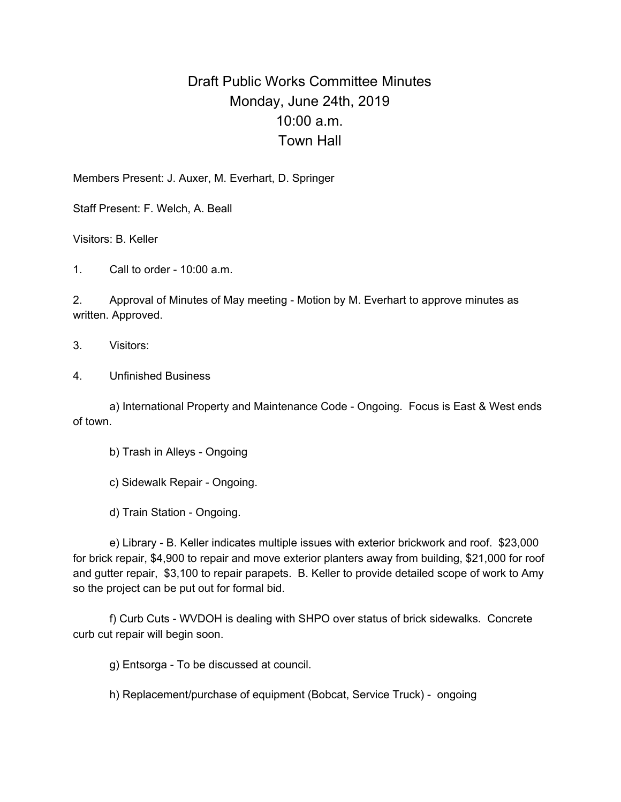## Draft Public Works Committee Minutes Monday, June 24th, 2019 10:00 a.m. Town Hall

Members Present: J. Auxer, M. Everhart, D. Springer

Staff Present: F. Welch, A. Beall

Visitors: B. Keller

1. Call to order - 10:00 a.m.

2. Approval of Minutes of May meeting - Motion by M. Everhart to approve minutes as written. Approved.

- 3. Visitors:
- 4. Unfinished Business

a) International Property and Maintenance Code - Ongoing. Focus is East & West ends of town.

- b) Trash in Alleys Ongoing
- c) Sidewalk Repair Ongoing.
- d) Train Station Ongoing.

e) Library - B. Keller indicates multiple issues with exterior brickwork and roof. \$23,000 for brick repair, \$4,900 to repair and move exterior planters away from building, \$21,000 for roof and gutter repair, \$3,100 to repair parapets. B. Keller to provide detailed scope of work to Amy so the project can be put out for formal bid.

f) Curb Cuts - WVDOH is dealing with SHPO over status of brick sidewalks. Concrete curb cut repair will begin soon.

g) Entsorga - To be discussed at council.

h) Replacement/purchase of equipment (Bobcat, Service Truck) - ongoing